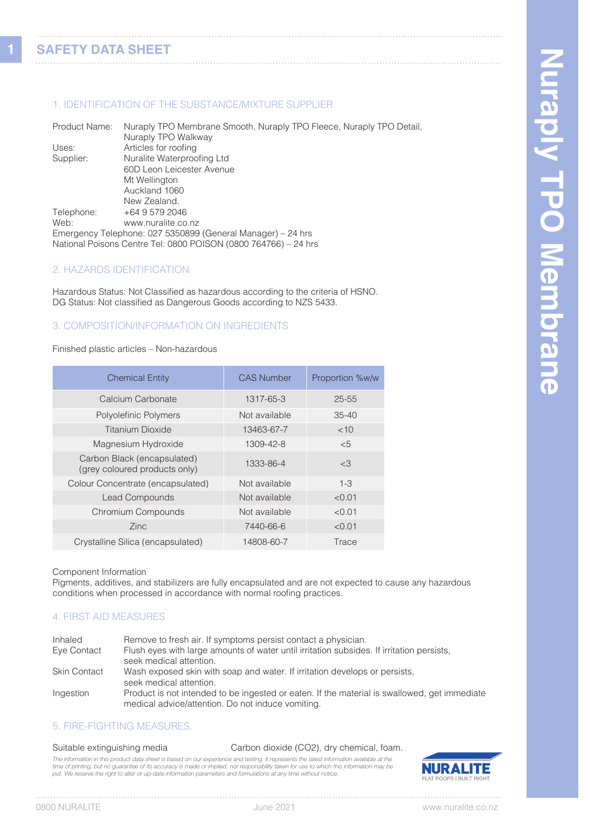**1**

## 1. IDENTIFICATION OF THE SUBSTANCE/MIXTURE SUPPLIER

Product Name: Nuraply TPO Membrane Smooth, Nuraply TPO Fleece, Nuraply TPO Detail, Nuraply TPO Walkway<br>Uses: Articles for roofing Articles for roofing Supplier: Nuralite Waterproofing Ltd 60D Leon Leicester Avenue Mt Wellington Auckland 1060 New Zealand. Telephone: +64 9 579 2046<br>Web: www.nuralite.co www.nuralite.co.nz Emergency Telephone: 027 5350899 (General Manager) – 24 hrs National Poisons Centre Tel: 0800 POISON (0800 764766) – 24 hrs

### 2. HAZARDS IDENTIFICATION

Hazardous Status: Not Classified as hazardous according to the criteria of HSNO. DG Status: Not classified as Dangerous Goods according to NZS 5433.

#### 3. COMPOSITION/INFORMATION ON INGREDIENTS

#### Finished plastic articles – Non-hazardous

| <b>Chemical Entity</b>                                       | <b>CAS Number</b> | Proportion %w/w |
|--------------------------------------------------------------|-------------------|-----------------|
| Calcium Carbonate                                            | 1317-65-3         | 25-55           |
| Polyolefinic Polymers                                        | Not available     | $35 - 40$       |
| Titanium Dioxide                                             | 13463-67-7        | <10             |
| Magnesium Hydroxide                                          | 1309-42-8         | <5              |
| Carbon Black (encapsulated)<br>(grey coloured products only) | 1333-86-4         | <3              |
| Colour Concentrate (encapsulated)                            | Not available     | $1 - 3$         |
| <b>Lead Compounds</b>                                        | Not available     | < 0.01          |
| Chromium Compounds                                           | Not available     | < 0.01          |
| Zinc                                                         | 7440-66-6         | < 0.01          |
| Crystalline Silica (encapsulated)                            | 14808-60-7        | Trace           |

Component Information

Pigments, additives, and stabilizers are fully encapsulated and are not expected to cause any hazardous conditions when processed in accordance with normal roofing practices.

### 4. FIRST AID MEASURES

| Inhaled             | Remove to fresh air. If symptoms persist contact a physician.                                |
|---------------------|----------------------------------------------------------------------------------------------|
| Eye Contact         | Flush eyes with large amounts of water until irritation subsides. If irritation persists,    |
|                     | seek medical attention.                                                                      |
| <b>Skin Contact</b> | Wash exposed skin with soap and water. If irritation develops or persists,                   |
|                     | seek medical attention.                                                                      |
| Ingestion           | Product is not intended to be ingested or eaten. If the material is swallowed, get immediate |
|                     | medical advice/attention. Do not induce vomiting.                                            |

### 5. FIRE-FIGHTING MEASURES.

# Suitable extinguishing media Carbon dioxide (CO2), dry chemical, foam.

The information in this product data sheet is based on our experience and testing. It represents the latest information available at the time of printing, but no guarantee of its accuracy is made or implied, nor responsibility taken for use to which this information may be<br>put. We reserve the right to alter or up-date information parameters and formulations

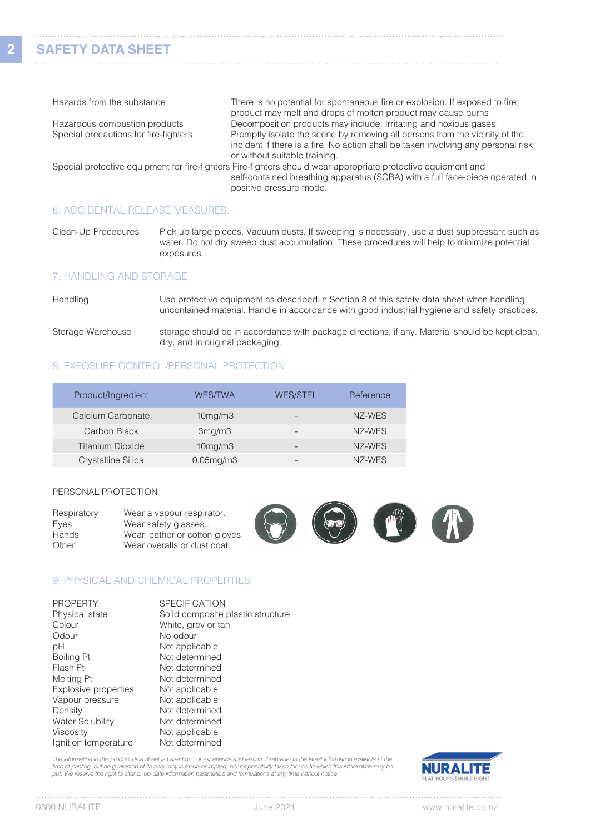**2**

| Hazards from the substance            | There is no potential for spontaneous fire or explosion. If exposed to fire,                                  |
|---------------------------------------|---------------------------------------------------------------------------------------------------------------|
|                                       | product may melt and drops of molten product may cause burns                                                  |
| Hazardous combustion products         | Decomposition products may include: Irritating and noxious gases.                                             |
| Special precautions for fire-fighters | Promptly isolate the scene by removing all persons from the vicinity of the                                   |
|                                       | incident if there is a fire. No action shall be taken involving any personal risk                             |
|                                       | or without suitable training.                                                                                 |
|                                       | Special protective equipment for fire-fighters Fire-fighters should wear appropriate protective equipment and |
|                                       | self-contained breathing apparatus (SCBA) with a full face-piece operated in                                  |
|                                       | positive pressure mode.                                                                                       |
|                                       |                                                                                                               |

#### 6. ACCIDENTAL RELEASE MEASURES.

Clean-Up Procedures Pick up large pieces. Vacuum dusts. If sweeping is necessary, use a dust suppressant such as water. Do not dry sweep dust accumulation. These procedures will help to minimize potential exposures.

#### 7. HANDLING AND STORAGE.

| Handling | Use protective equipment as described in Section 8 of this safety data sheet when handling    |
|----------|-----------------------------------------------------------------------------------------------|
|          | uncontained material. Handle in accordance with good industrial hygiene and safety practices. |

Storage Warehouse storage should be in accordance with package directions, if any. Material should be kept clean, dry, and in original packaging.

# 8. EXPOSURE CONTROL/PERSONAL PROTECTION

| Product/Ingredient      | <b>WES/TWA</b>  | <b>WES/STEL</b>          | Reference |
|-------------------------|-----------------|--------------------------|-----------|
| Calcium Carbonate       | 10mg/m3         | $\overline{\phantom{0}}$ | NZ-WES    |
| Carbon Black            | 3mg/m3          | $\overline{\phantom{0}}$ | NZ-WES    |
| <b>Titanium Dioxide</b> | 10mg/m3         |                          | NZ-WES    |
| Crystalline Silica      | $0.05$ mg/m $3$ | ۰                        | NZ-WES    |

#### PERSONAL PROTECTION

| Respiratory<br>Eyes | Wear a vapour respirator.<br>Wear safety glasses             |  | $\sqrt{2}$ | $\mathcal{L}$ |
|---------------------|--------------------------------------------------------------|--|------------|---------------|
| Hands<br>Other      | Wear leather or cotton gloves<br>Wear overalls or dust coat. |  |            |               |

### 9. PHYSICAL AND CHEMICAL PROPERTIES

| <b>PROPERTY</b>         | <b>SPECIFICATION</b>              |
|-------------------------|-----------------------------------|
| Physical state          | Solid composite plastic structure |
| Colour                  | White, grey or tan                |
| Odour                   | No odour                          |
| рH                      | Not applicable                    |
| Boiling Pt              | Not determined                    |
| Flash Pt                | Not determined                    |
| Melting Pt              | Not determined                    |
| Explosive properties    | Not applicable                    |
| Vapour pressure         | Not applicable                    |
| Density                 | Not determined                    |
| <b>Water Solubility</b> | Not determined                    |
| Viscosity               | Not applicable                    |
| Ignition temperature    | Not determined                    |

The information in this product data sheet is based on our experience and testing. It represents the latest information available at the time of printing, but no guarantee of its accuracy is made or implied, nor responsibility taken for use to which this information may be<br>put. We reserve the right to alter or up-date information parameters and formulations



. . . . . .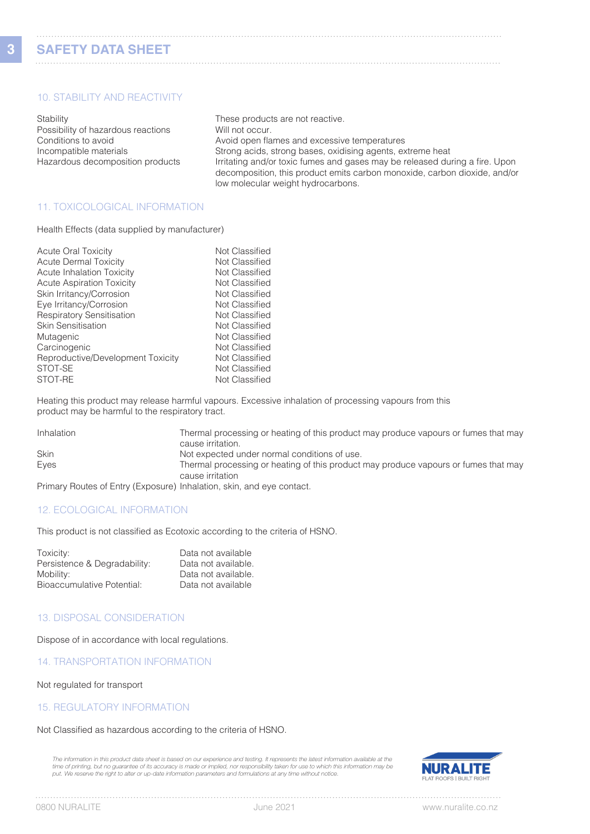**3**

# 10. STABILITY AND REACTIVITY

Stability Stability Stability Stability Stability Stability Stability Stability Stability Stability Stability Stability Stability Stability Stability Stability Stability Stability Stability Stability Stability Stability St Possibility of hazardous reactions Will not occur.

Conditions to avoid **Avoid open flames and excessive temperatures** Incompatible materials Strong acids, strong bases, oxidising agents, extreme heat Hazardous decomposition products Irritating and/or toxic fumes and gases may be released during a fire. Upon decomposition, this product emits carbon monoxide, carbon dioxide, and/or low molecular weight hydrocarbons.

## 11. TOXICOLOGICAL INFORMATION

Health Effects (data supplied by manufacturer)

| Not Classified |
|----------------|
| Not Classified |
| Not Classified |
| Not Classified |
| Not Classified |
| Not Classified |
| Not Classified |
| Not Classified |
| Not Classified |
| Not Classified |
| Not Classified |
| Not Classified |
| Not Classified |
|                |

Heating this product may release harmful vapours. Excessive inhalation of processing vapours from this product may be harmful to the respiratory tract.

| Inhalation  | Thermal processing or heating of this product may produce vapours or fumes that may<br>cause irritation. |
|-------------|----------------------------------------------------------------------------------------------------------|
| <b>Skin</b> | Not expected under normal conditions of use.                                                             |
| Eyes        | Thermal processing or heating of this product may produce vapours or fumes that may                      |
|             | cause irritation                                                                                         |
|             |                                                                                                          |

Primary Routes of Entry (Exposure) Inhalation, skin, and eye contact.

### 12. ECOLOGICAL INFORMATION

This product is not classified as Ecotoxic according to the criteria of HSNO.

| Toxicity:                    | Data not available  |
|------------------------------|---------------------|
| Persistence & Degradability: | Data not available. |
| Mobility:                    | Data not available. |
| Bioaccumulative Potential:   | Data not available  |

### 13. DISPOSAL CONSIDERATION

Dispose of in accordance with local regulations.

14. TRANSPORTATION INFORMATION

Not regulated for transport

#### 15. REGULATORY INFORMATION

#### Not Classified as hazardous according to the criteria of HSNO.

*The information in this product data sheet is based on our experience and testing. It represents the latest information available at the time of printing, but no guarantee of its accuracy is made or implied, nor responsibility taken for use to which this information may be put. We reserve the right to alter or up-date information parameters and formulations at any time without notice.*